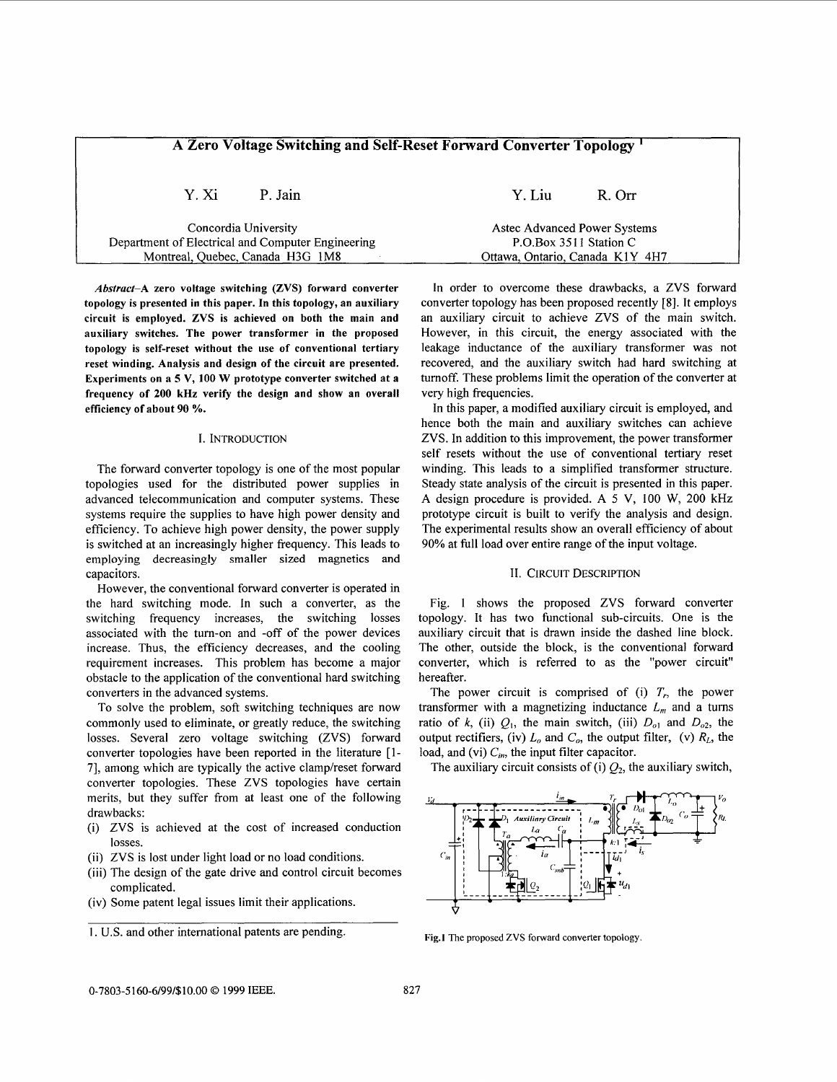| A Zero Voltage Switching and Self-Reset Forward Converter Topology          |                                 |  |  |  |
|-----------------------------------------------------------------------------|---------------------------------|--|--|--|
| Y. Xi<br>P. Jain                                                            | Y. Liu<br>$R$ Orr               |  |  |  |
| Concordia University                                                        | Astec Advanced Power Systems    |  |  |  |
| Department of Electrical and Computer Engineering<br>P.O.Box 3511 Station C |                                 |  |  |  |
| Montreal, Quebec, Canada H3G 1M8                                            | Ottawa, Ontario, Canada K1Y 4H7 |  |  |  |

*Abstract-A* **zero voltage switching (ZVS) forward converter topology is presented in this paper. In this topology, an auxiliary circuit is employed. ZVS is achieved on both the main and auxiliary switches. The power transformer in the proposed topology is self-reset without the use of conventional tertiary reset winding. Analysis and design of the circuit are presented. Experiments on a 5 V, 100 W prototype converter switched at a frequency of 200 kHz verify the design and show an overall efficiency of about 90** *YO.* 

### **1.** INTRODUCTION

The forward converter topology is one of the most popular topologies used for the distributed power supplies in advanced telecommunication and computer systems. These systems require the supplies to have high power density and efficiency. To achieve high power density, the power supply is switched at an increasingly higher frequency. This leads to employing decreasingly smaller sized magnetics and capacitors.

However, the conventional forward converter is operated in the hard switching mode. In such a converter, as the switching frequency increases, the switching losses associated with the turn-on and -off of the power devices increase. Thus, the efficiency decreases, and the cooling requirement increases. This problem has become a major obstacle to the application of the conventional hard switching converters in the advanced systems.

To solve the problem, soft switching techniques are now commonly used to eliminate, or greatly reduce, the switching losses. Several zero voltage switching (ZVS) forward converter topologies have been reported in the literature [ 1 - 7], among which are typically the active clamp/reset forward converter topologies. These ZVS topologies have certain merits, but they suffer from at least one of the following drawbacks:

- (i) ZVS is achieved at the cost of increased conduction losses.
- (ii) ZVS is lost under light load or no load conditions.
- (iii) The design of the gate drive and control circuit becomes complicated.
- (iv) Some patent legal issues limit their applications.

In order to overcome these drawbacks, a ZVS forward converter topology has been proposed recently **[8].** It employs an auxiliary circuit to achieve ZVS of the main switch. However, in this circuit, the energy associated with the leakage inductance of the auxiliary transformer was not recovered, and the auxiliary switch had hard switching at turnoff. These problems limit the operation of the converter at very high frequencies.

In this paper, a modified auxiliary circuit is employed, and hence both the main and auxiliary switches can achieve ZVS. In addition to this improvement, the power transformer self resets without the use of conventional tertiary reset winding. This leads to a simplified transformer structure. Steady state analysis of the circuit is presented in this paper. A design procedure is provided. A 5 V, 100 W, 200 kHz prototype circuit is built to verify the analysis and design. The experimental results show an overall efficiency of about 90% at full load over entire range of the input voltage.

### 11. CIRCUIT DESCRIPTION

Fig. 1 shows the proposed ZVS forward converter topology. It has two functional sub-circuits. One is the auxiliary circuit that is drawn inside the dashed line block. The other, outside the block, is the conventional forward converter, which is referred to as the "power circuit" hereafter.

The power circuit is comprised of (i)  $T_r$ , the power transformer with a magnetizing inductance  $L_m$  and a turns ratio of *k*, (ii)  $Q_1$ , the main switch, (iii)  $D_{01}$  and  $D_{02}$ , the output rectifiers, (iv)  $L_0$  and  $C_0$ , the output filter, (v)  $R_L$ , the load, and (vi)  $C_{in}$ , the input filter capacitor.

The auxiliary circuit consists of (i)  $Q_2$ , the auxiliary switch,



**Fig.1 The proposed ZVS forward converter topology** 

**<sup>1.</sup>** U.S. and other international patents are pending.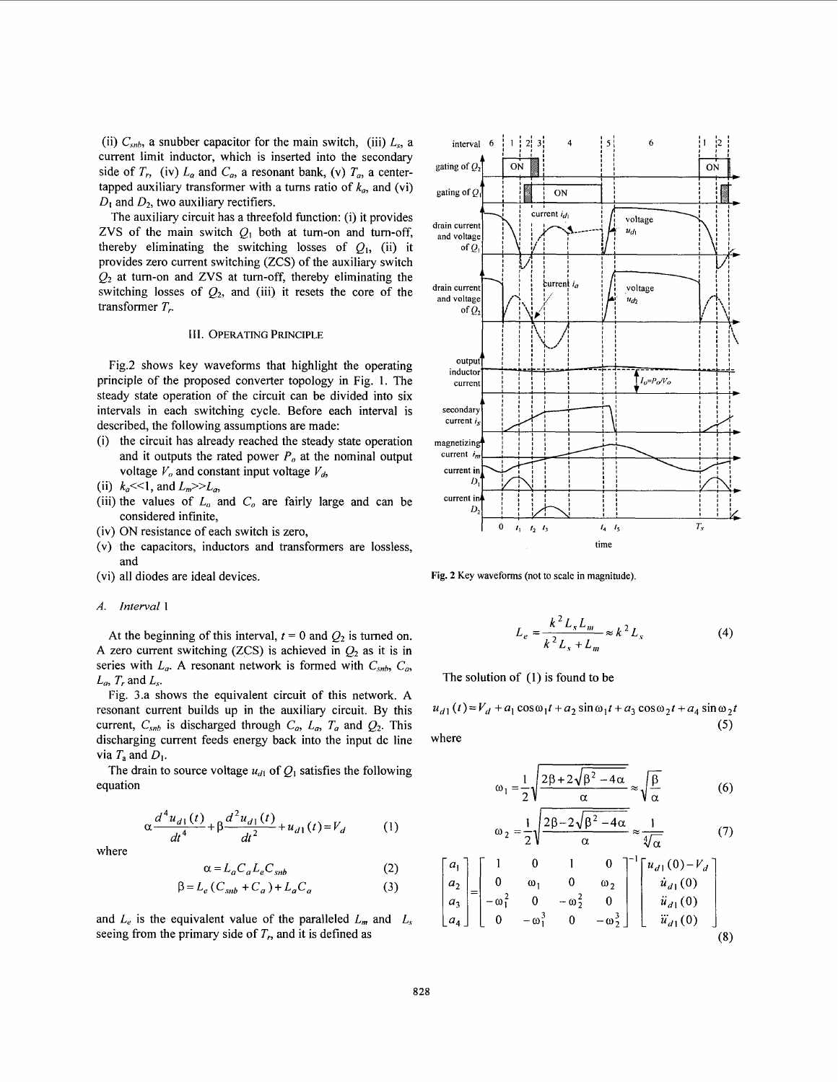(ii)  $C_{\text{sub}}$ , a snubber capacitor for the main switch, (iii)  $L_s$ , a current limit inductor, which is inserted into the secondary side of  $T_r$ , (iv)  $L_a$  and  $C_a$ , a resonant bank, (v)  $T_a$ , a centertapped auxiliary transformer with a turns ratio of  $k_a$ , and (vi)  $D_1$  and  $D_2$ , two auxiliary rectifiers.

The auxiliary circuit has a threefold function: (i) it provides ZVS of the main switch  $Q_1$  both at turn-on and turn-off, thereby eliminating the switching losses of  $Q_1$ , (ii) it provides zero current switching (ZCS) of the auxiliary switch *Q2* at turn-on and ZVS at turn-off, thereby eliminating the switching losses of  $Q_2$ , and (iii) it resets the core of the transformer *T,.* 

## **111.** OPERATING **PRINCIPLE**

Fig.2 shows key waveforms that highlight the operating principle of the proposed converter topology in Fig. 1. The steady state operation of the circuit can be divided into six intervals in each switching cycle. Before each interval is described, the following assumptions are made:

- (i) the circuit has already reached the steady state operation and it outputs the rated power  $P<sub>o</sub>$  at the nominal output voltage  $V<sub>o</sub>$  and constant input voltage  $V<sub>d</sub>$ ,
- (ii)  $k_a \ll 1$ , and  $L_m \gg L_a$ ,
- (iii) the values of  $L<sub>o</sub>$  and  $C<sub>o</sub>$  are fairly large and can be considered infinite,
- (iv) ON resistance of each switch is zero,
- (v) the capacitors, inductors and transformers are lossless, and
- (vi) all diodes are ideal devices.
- *A. Interval* **1**

At the beginning of this interval,  $t = 0$  and  $Q_2$  is turned on. A zero current switching (ZCS) is achieved in  $Q_2$  as it is in series with  $L_a$ . A resonant network is formed with  $C_{sub}$ ,  $C_a$ ,  $L_a$ ,  $T_r$  and  $L_s$ .

Fig. 3.a shows the equivalent circuit of this network. A resonant current builds up in the auxiliary circuit. By this current,  $C_{snb}$  is discharged through  $C_a$ ,  $L_a$ ,  $T_a$  and  $Q_2$ . This discharging current feeds energy back into the input dc line via  $T_a$  and  $D_1$ .

The drain to source voltage  $u_{d1}$  of  $Q_1$  satisfies the following equation

$$
\alpha \frac{d^4 u_{d1}(t)}{dt^4} + \beta \frac{d^2 u_{d1}(t)}{dt^2} + u_{d1}(t) = V_d \tag{1}
$$

where

$$
\alpha = L_a C_a L_e C_{sub}
$$
\n
$$
\beta = L_e (C_{sub} + C_a) + L_a C_a
$$
\n(2)

$$
3 = L_e \left( C_{sub} + C_a \right) + L_a C_a \tag{3}
$$

and  $L_e$  is the equivalent value of the paralleled  $L_m$  and  $L_s$ seeing from the primary side of *T,,* and it is defined as



**Fig. 2 Key waveforms** (not to **scale in magnitude).** 

$$
L_e = \frac{k^2 L_s L_m}{k^2 L_s + L_m} \approx k^2 L_s
$$
 (4)

The solution of (1) is found to be

 $u_{d1}(t) = V_d + a_1 \cos \omega_1 t + a_2 \sin \omega_1 t + a_3 \cos \omega_2 t + a_4 \sin \omega_2 t$ *(5)* 

where

$$
\omega_1 = \frac{1}{2} \sqrt{\frac{2\beta + 2\sqrt{\beta^2 - 4\alpha}}{\alpha}} \approx \sqrt{\frac{\beta}{\alpha}}
$$
 (6)

$$
\omega_2 = \frac{1}{2} \sqrt{\frac{2\beta - 2\sqrt{\beta^2 - 4\alpha}}{\alpha}} \approx \frac{1}{\sqrt[4]{\alpha}} \tag{7}
$$

$$
\begin{bmatrix} a_1 \\ a_2 \\ a_3 \\ a_4 \end{bmatrix} = \begin{bmatrix} 1 & 0 & 1 & 0 \\ 0 & \omega_1 & 0 & \omega_2 \\ -\omega_1^2 & 0 & -\omega_2^2 & 0 \\ 0 & -\omega_1^3 & 0 & -\omega_2^3 \end{bmatrix}^{-1} \begin{bmatrix} u_{d1}(0) - V_d \\ \dot{u}_{d1}(0) \\ \ddot{u}_{d1}(0) \\ \ddot{u}_{d1}(0) \end{bmatrix}
$$
 (8)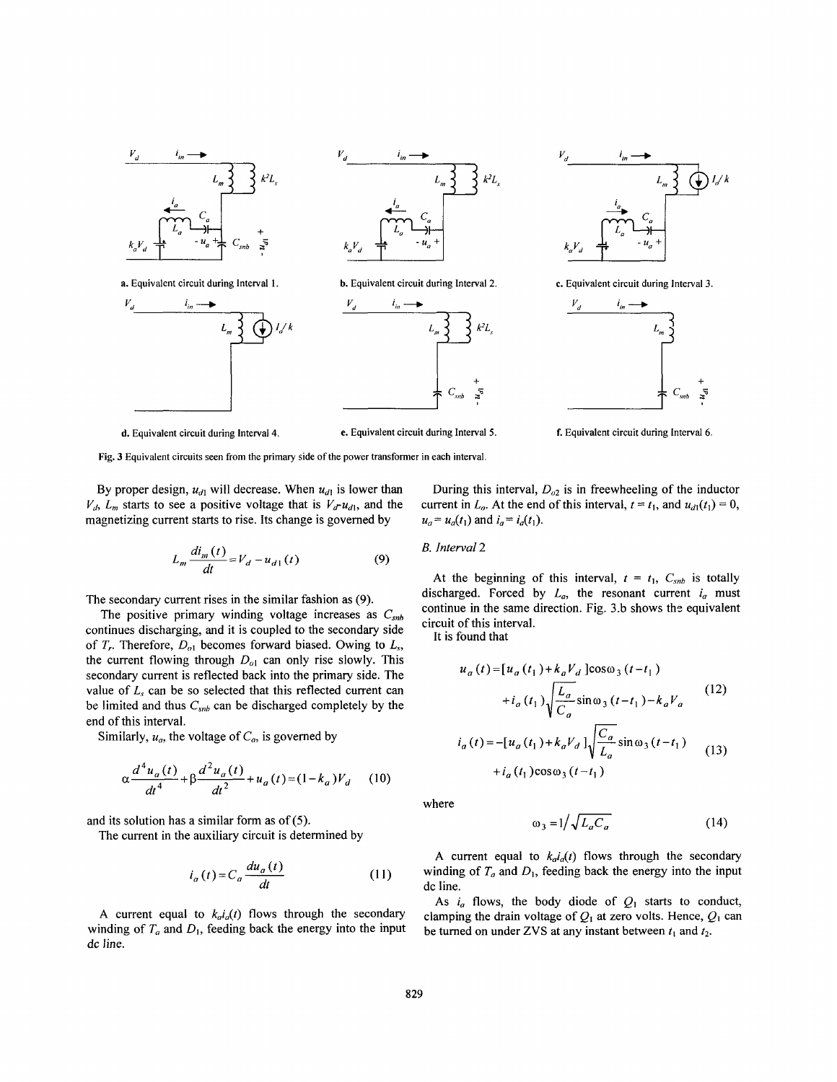





**a.** Equivalent circuit during Interval 1. **b.** Equivalent circuit during Interval 2.



**d.** Equivalent circuit during Interval 4. **e.** Equivalent circuit during Interval 5.



**c. Equivalent circuit during Interval 3** 



**f. Equivalent circuit during Interval** *6.* 

**Fig. 3 Equivalent circuits seen from the primary side of the power transformer in each interval.** 

By proper design,  $u_{d1}$  will decrease. When  $u_{d1}$  is lower than  $V_d$ ,  $L_m$  starts to see a positive voltage that is  $V_d$ - $u_{d1}$ , and the magnetizing current starts to rise. Its change is governed by

see a positive voltage that is 
$$
V_d \cdot u_{d1}
$$
, and the  
ent starts to rise. Its change is governed by  

$$
L_m \frac{di_m(t)}{dt} = V_d - u_{d1}(t)
$$
(9)

The secondary current rises in the similar fashion as (9).

The positive primary winding voltage increases as  $C_{sub}$ continues discharging, and it is coupled to the secondary side of  $T_r$ . Therefore,  $D_{o1}$  becomes forward biased. Owing to  $L_s$ , the current flowing through  $D_{01}$  can only rise slowly. This secondary current is reflected back into the primary side. The value of  $L_s$  can be so selected that this reflected current can be limited and thus *Csnh* can be discharged completely by the end of this interval.

Similarly,  $u_a$ , the voltage of  $C_a$ , is governed by

$$
\alpha \frac{d^4 u_a(t)}{dt^4} + \beta \frac{d^2 u_a(t)}{dt^2} + u_a(t) = (1 - k_a) V_d \tag{10}
$$

and its solution has a similar form as of (5).

The current in the auxiliary circuit is determined by

$$
i_a(t) = C_a \frac{du_a(t)}{dt} \tag{11}
$$

A current equal to  $k_a i_a(t)$  flows through the secondary winding of  $T_a$  and  $D_1$ , feeding back the energy into the input **dc** line.

During this interval,  $D_{02}$  is in freewheeling of the inductor current in  $L_o$ . At the end of this interval,  $t = t_1$ , and  $u_{d}(t_1) = 0$ ,  $u_a = u_a(t_1)$  and  $i_a = i_a(t_1)$ .

# *B. Interval* 2

At the beginning of this interval,  $t = t_1$ ,  $C_{sub}$  is totally discharged. Forced by  $L_a$ , the resonant current  $i_a$  must continue in the same direction. Fig. 3.b shows the equivalent circuit of this interval.

It is found that

$$
u_{a}(t) = [u_{a}(t_{1}) + k_{a}V_{d}] \cos \omega_{3} (t - t_{1})
$$
  
+  $i_{a}(t_{1}) \sqrt{\frac{L_{a}}{C_{a}}} \sin \omega_{3} (t - t_{1}) - k_{a}V_{a}$  (12)  

$$
i_{a}(t) = -[u_{a}(t_{1}) + k_{a}V_{d}] \sqrt{\frac{C_{a}}{L_{a}}} \sin \omega_{3} (t - t_{1})
$$
 (13)  
+  $i_{a}(t_{1}) \cos \omega_{3} (t - t_{1})$ 

where

$$
\omega_3 = 1 / \sqrt{L_a C_a} \tag{14}
$$

A current equal to  $k_a i_a(t)$  flows through the secondary winding of  $T_a$  and  $D_1$ , feeding back the energy into the input dc line.

As  $i_a$  flows, the body diode of  $Q_1$  starts to conduct, clamping the drain voltage of  $Q_1$  at zero volts. Hence,  $Q_1$  can be turned on under ZVS at any instant between  $t_1$  and  $t_2$ .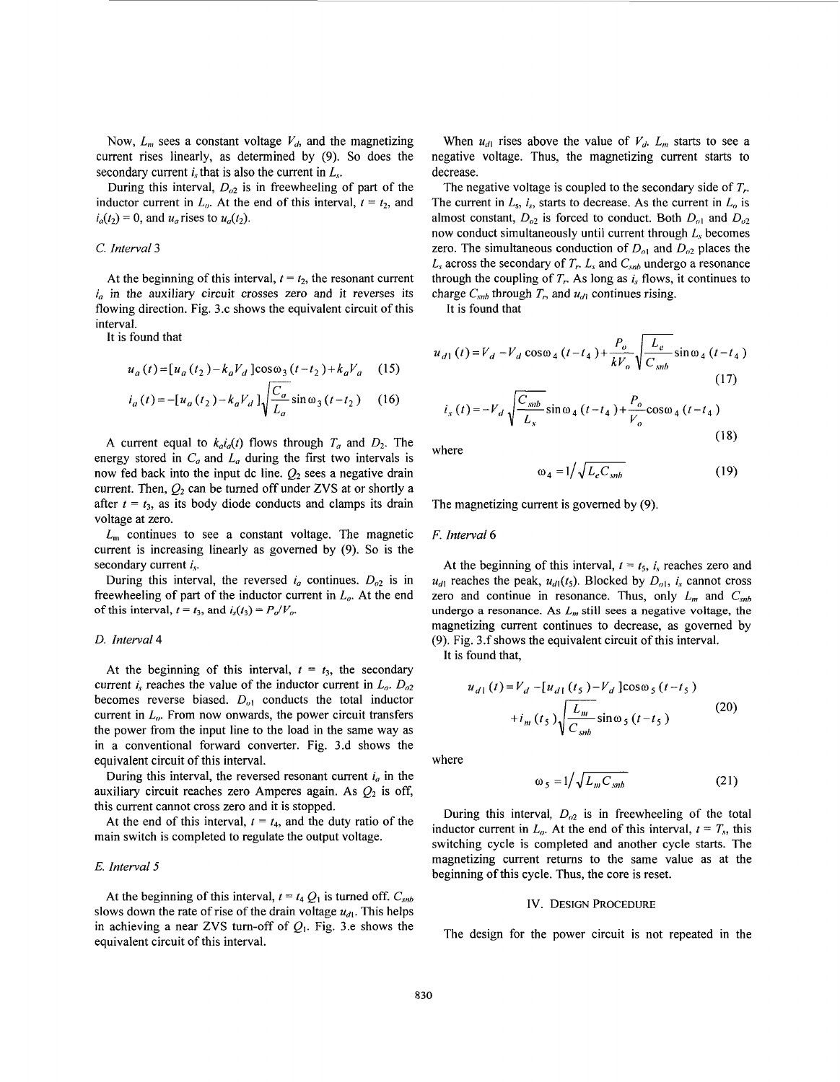Now,  $L_m$  sees a constant voltage  $V_d$ , and the magnetizing current rises linearly, as determined by (9). So does the secondary current  $i<sub>s</sub>$  that is also the current in  $L<sub>s</sub>$ .

During this interval,  $D_{02}$  is in freewheeling of part of the inductor current in  $L_0$ . At the end of this interval,  $t = t_2$ , and  $i_a(t_2) = 0$ , and  $u_a$  rises to  $u_a(t_2)$ .

## *C. Interval 3*

At the beginning of this interval,  $t = t_2$ , the resonant current  $i_a$  in the auxiliary circuit crosses zero and it reverses its flowing direction. Fig. 3.c shows the equivalent circuit of this interval.

It is found that

$$
u_a(t) = [u_a(t_2) - k_a V_d] \cos \omega_3 (t - t_2) + k_a V_a
$$
 (15)  

$$
i_a(t) = -[u_a(t_2) - k_a V_d] \sqrt{\frac{C_a}{L_a}} \sin \omega_3 (t - t_2)
$$
 (16)

A current equal to  $k_d$ *i<sub>d</sub>*(*t*) flows through  $T_a$  and  $D_2$ . The energy stored in  $C_a$  and  $L_a$  during the first two intervals is now fed back into the input dc line.  $Q_2$  sees a negative drain current. Then,  $Q_2$  can be turned off under ZVS at or shortly a after  $t = t_3$ , as its body diode conducts and clamps its drain voltage at zero.

 $L<sub>m</sub>$  continues to see a constant voltage. The magnetic current is increasing linearly as governed by **(9).** So is the secondary current *i<sub>s</sub>*.

During this interval, the reversed  $i_a$  continues.  $D_{02}$  is in freewheeling of part of the inductor current in  $L<sub>o</sub>$ . At the end of this interval,  $t = t_3$ , and  $i_s(t_3) = P_o/V_o$ .

### *D. Interval* 4

At the beginning of this interval,  $t = t_3$ , the secondary current  $i_s$  reaches the value of the inductor current in  $L_o$ .  $D_{o2}$ becomes reverse biased.  $D_{01}$  conducts the total inductor current in  $L<sub>o</sub>$ . From now onwards, the power circuit transfers the power from the input line to the load in the same way as in a conventional forward converter. Fig. 3.d shows the equivalent circuit of this interval.

During this interval, the reversed resonant current  $i_a$  in the auxiliary circuit reaches zero Amperes again. As  $Q_2$  is off, this current cannot cross zero and it is stopped.

At the end of this interval,  $t = t_4$ , and the duty ratio of the main switch is completed to regulate the output voltage.

# *E. Interval 5*

At the beginning of this interval,  $t = t_4 Q_1$  is turned off.  $C_{sub}$ slows down the rate of rise of the drain voltage  $u_{d1}$ . This helps in achieving a near ZVS turn-off of *Q,.* Fig. 3.e shows the equivalent circuit of this interval.

When  $u_{d1}$  rises above the value of  $V_{d}$ ,  $L_m$  starts to see a negative voltage. Thus, the magnetizing current starts to decrease.

The negative voltage is coupled to the secondary side of *T,.*  The current in  $L_s$ ,  $i_s$ , starts to decrease. As the current in  $L_a$  is almost constant,  $D_{02}$  is forced to conduct. Both  $D_{01}$  and  $D_{02}$ now conduct simultaneously until current through  $L<sub>s</sub>$  becomes zero. The simultaneous conduction of  $D_{o1}$  and  $D_{o2}$  places the  $L<sub>s</sub>$  across the secondary of  $T<sub>r</sub>$ ,  $L<sub>s</sub>$  and  $C<sub>sub</sub>$  undergo a resonance through the coupling of  $T_r$ . As long as  $i_s$  flows, it continues to charge  $C_{sub}$  through  $T_r$ , and  $u_{d1}$  continues rising.

It is found that

$$
u_{d}(t) = V_d - V_d \cos \omega_4 (t - t_4) + \frac{P_o}{kV_o} \sqrt{\frac{L_e}{C_{sub}}} \sin \omega_4 (t - t_4)
$$
\n(17)

$$
i_{s}(t) = -V_{d} \sqrt{\frac{C_{sub}}{L_{s}}} \sin \omega_{4} (t - t_{4}) + \frac{P_{o}}{V_{o}} \cos \omega_{4} (t - t_{4})
$$
\n(18)

where

$$
\omega_4 = 1 / \sqrt{L_e C_{sub}} \tag{19}
$$

The magnetizing current is govemed by (9).

### *F. Interval 6*

At the beginning of this interval,  $t = t_5$ ,  $i_s$  reaches zero and  $u_{d1}$  reaches the peak,  $u_{d1}(t_5)$ . Blocked by  $D_{d1}$ ,  $i_s$  cannot cross zero and continue in resonance. Thus, only  $L_m$  and  $C_{smb}$ undergo a resonance. As  $L_m$  still sees a negative voltage, the magnetizing current continues to decrease, as governed by **(9).** Fig. 3.f shows the equivalent circuit of this interval.

It is found that,

$$
u_{d|} (t) = V_d - [u_{d|} (t_5) - V_d ] \cos \omega_5 (t - t_5)
$$
  
+  $i_m (t_5) \sqrt{\frac{L_m}{C_{mb}}} \sin \omega_5 (t - t_5)$  (20)

where

$$
\omega_5 = 1 / \sqrt{L_m C_{sub}} \tag{21}
$$

During this interval,  $D_{02}$  is in freewheeling of the total inductor current in  $L_o$ . At the end of this interval,  $t = T_s$ , this switching cycle is completed and another cycle starts. The magnetizing current returns to the same value as at the beginning of this cycle. Thus, the core is reset.

## IV. DESIGN PROCEDURE

The design for the power circuit is not repeated in the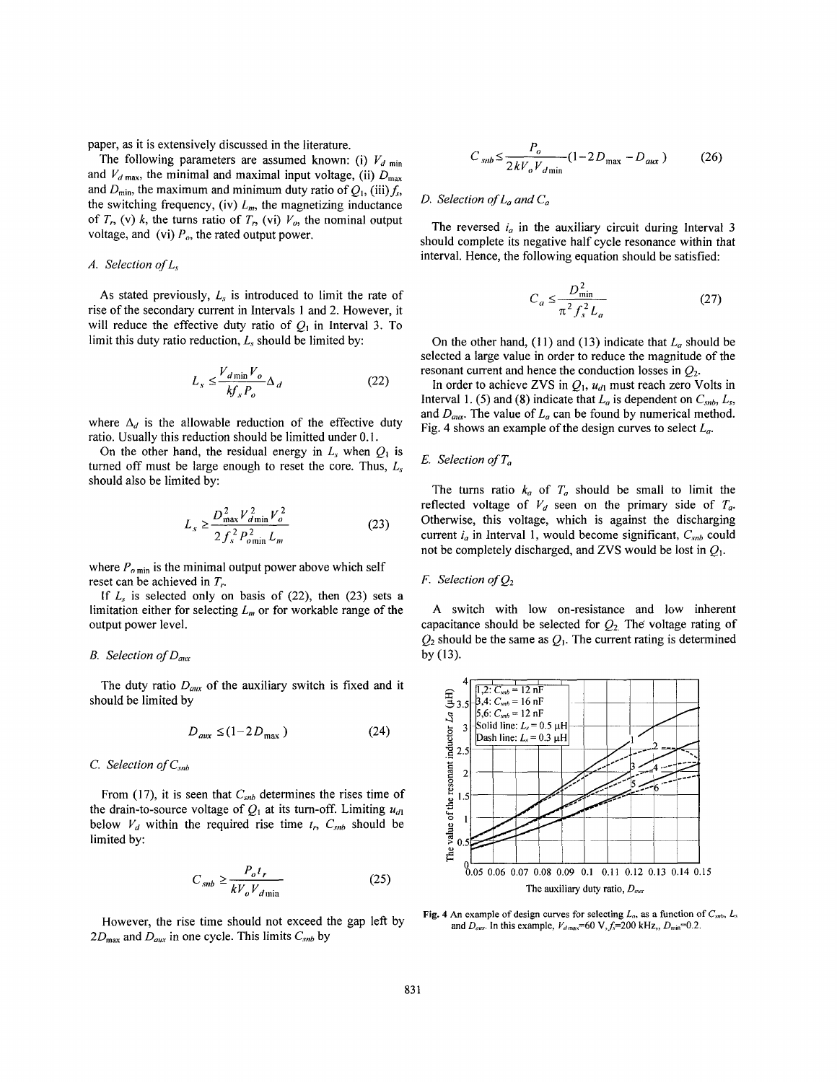paper, as it is extensively discussed in the literature.

The following parameters are assumed known: (i)  $V_{d,min}$ and  $V_{d \text{max}}$ , the minimal and maximal input voltage, (ii)  $D_{\text{max}}$ and  $D_{min}$ , the maximum and minimum duty ratio of  $Q_1$ , (iii)  $f_s$ ,  $D$ . Selection of  $L_a$  and the switching frequency, (iv)  $L_m$ , the magnetizing inductance  $D$ . Selection of  $L_a$  and of  $T_r$ , (v) *k*, the turns ratio of  $T_r$ , (vi)  $V_o$ , the nominal output voltage, and (vi)  $P_o$ , the rated output power.<br>The reversed  $i_a$  in the auxiliary circuit during Interval 3<br>checked *is property its property* interval and *s* and (vi)  $P_o$ , the rated output power.

# *A.* Selection of  $L_s$

As stated previously,  $L<sub>s</sub>$  is introduced to limit the rate of rise of the secondary current in Intervals *1* and *2.* However, it will reduce the effective duty ratio of  $Q_1$  in Interval 3. To limit this duty ratio reduction,  $L_s$  should be limited by:

$$
L_s \le \frac{V_{d\min} V_o}{k f_s P_o} \Delta_d
$$
 (22)

where  $\Delta_d$  is the allowable reduction of the effective duty ratio. Usually this reduction should be limitted under 0.1.

On the other hand, the residual energy in  $L_s$  when  $Q_1$  is turned off must be large enough to reset the core. Thus,  $L<sub>s</sub>$ should also be limited by:

$$
L_s \ge \frac{D_{\text{max}}^2 V_{d\text{min}}^2 V_o^2}{2 f_s^2 P_{\text{onin}}^2 L_m}
$$
 (23)

where  $P_{\text{o min}}$  is the minimal output power above which self reset can be achieved in *T,.* 

limitation either for selecting  $L_m$  or for workable range of the **A** switch with low on-resistance and low inherent output power level. capacitance should be selected for *Q2.* The' voltage rating of If  $L_s$  is selected only on basis of  $(22)$ , then  $(23)$  sets a

# *B. Selection of D<sub>aux</sub>* by (13).

The duty ratio  $D_{aux}$  of the auxiliary switch is fixed and it should be limited by

$$
D_{\text{aux}} \le (1 - 2D_{\text{max}}) \tag{24}
$$

# *C. Selection of* **C,y,h**

From (17), it is seen that  $C_{\text{sub}}$  determines the rises time of the drain-to-source voltage of  $Q_1$  at its turn-off. Limiting  $u_{d1}$ below  $V_d$  within the required rise time  $t_r$ ,  $C_{sub}$  should be limited by:

$$
C_{sub} \ge \frac{P_o t_r}{k V_o V_{dmin}} \tag{25}
$$

 $2D_{\text{max}}$  and  $D_{\text{aux}}$  in one cycle. This limits  $C_{\text{sub}}$  by

$$
C_{sub} \le \frac{P_o}{2kV_oV_{d\min}} (1 - 2D_{\max} - D_{aux})
$$
 (26)

should complete its negative half cycle resonance within that interval. Hence, the foliowing equation should be satisfied:

$$
C_a \le \frac{D_{\min}^2}{\pi^2 f_s^2 L_a} \tag{27}
$$

On the other hand,  $(11)$  and  $(13)$  indicate that  $L_a$  should be selected a large value in order to reduce the magnitude of the resonant current and hence the conduction losses in  $Q_2$ .

In order to achieve ZVS in  $Q_1$ ,  $u_{d1}$  must reach zero Volts in Interval 1. (5) and (8) indicate that  $L_a$  is dependent on  $C_{sub}$ ,  $L_s$ , and  $D_{aux}$ . The value of  $L_a$  can be found by numerical method. Fig. 4 shows an example of the design curves to select  $L_a$ .

# *E. Selection of To*

The turns ratio  $k_a$  of  $T_a$  should be small to limit the reflected voltage of  $V_d$  seen on the primary side of  $T_a$ . Otherwise, this voltage, which is against the discharging current *i<sub>a</sub>* in Interval 1, would become significant,  $C_{snb}$  could not be completely discharged, and ZVS would be lost in  $Q_1$ .

## *F. Selection of Q2*

 $Q_2$  should be the same as  $Q_1$ . The current rating is determined



However, the rise time should not exceed the gap left by Fig. 4 An example of design curves for selecting  $L_a$ , as a function of  $C_{smb}$ ,  $L_s$ <br>and  $D_{aux}$ . In this example,  $V_{dmax} = 60 \text{ V}, f_s = 200 \text{ kHz}, D_{min} = 0.2$ .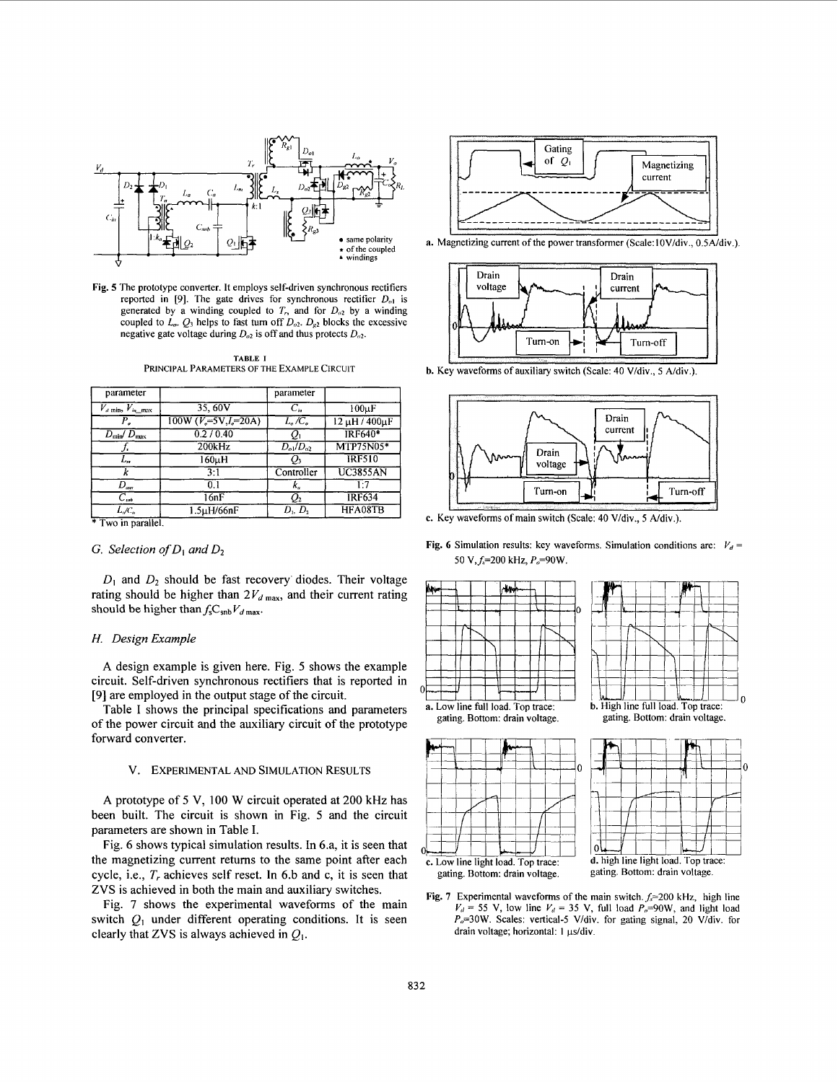

**Fig. 5** The prototype converter. It employs self-driven synchronous rectifiers reported in *[9].* The gate drives for synchronous rectifier *Do,* is generated by a winding coupled to  $T_r$ , and for  $D_{02}$  by a winding coupled to  $L_o$ .  $Q_3$  helps to fast turn off  $D_{o2}$ .  $D_{g2}$  blocks the excessive negative gate voltage during  $D_{02}$  is off and thus protects  $D_{02}$ .

| parameter                       |                             | parameter             |                        |
|---------------------------------|-----------------------------|-----------------------|------------------------|
| $V_{d \min}$ , $V_{i_0}$ max    | 35,60V                      | $C_{\rm in}$          | $100\mu F$             |
|                                 | $100W (V_e = 5V I_e = 20A)$ | $L_{\circ}/C_{\circ}$ | $12 \mu H / 400 \mu F$ |
| $D_{\text{min}}/D_{\text{max}}$ | 0.2 / 0.40                  |                       | <b>IRF640*</b>         |
| J s                             | 200kHz                      | $D_{o1}/D_{o2}$       | MTP75N05*              |
| L"                              | $160\mu H$                  | $\mathcal{Q}_3$       | <b>IRF510</b>          |
|                                 | 3:1                         | Controller            | <b>UC3855AN</b>        |
| $D_{\scriptscriptstyle\it env}$ | 0.1                         | k,                    | 1.7                    |
| $C_{\scriptscriptstyle\it sub}$ | 16nF                        | $\mathcal{Q}_2$       | <b>IRF634</b>          |
| L.C.                            | 1.5µH/66nF                  | $D_1, D_2$            | HFA08TB                |

**TABLE I**  PRINCIPAL PARAMETERS OF THE EXAMPLE CIRCUIT

# *G. Selection of D1 and 02*

 $D_1$  and  $D_2$  should be fast recovery diodes. Their voltage rating should be higher than  $2V_{d \text{ max}}$ , and their current rating should be higher than  $f_sC_{\rm shb}V_{d\rm max}$ .

### *H. Design Example*

**A** design example is given here. Fig. 5 shows the example circuit. Self-driven synchronous rectifiers that is reported in **[9]** are employed in the output stage of the circuit.

Table I shows the principal specifications and parameters of the power circuit and the auxiliary circuit of the prototype forward converter.

## v. EXPERIMENTAL AND SIMULATION RESULTS

**A** prototype of 5 V, 100 W circuit operated at 200 **kHz** has been built. The circuit is shown in Fig. 5 and the circuit parameters are shown in Table **I.** 

Fig. 6 shows typical simulation results. In 6.a, it is seen that the magnetizing current retums to the same point after each cycle, i.e., *T,* achieves self reset. In 6.b and c, it is seen that ZVS is achieved in both the main and auxiliary switches.

Fig. 7 shows the experimental waveforms of the main switch  $Q_1$  under different operating conditions. It is seen clearly that **ZVS** is always achieved in *Q,.* 



**a.** Magnetizing current of the power transformer (Scale: 10V/div., 0.5A/div.).



**b.** Key waveforms of auxiliary switch (Scale: 40 V/div., 5 A/div.).



**c.** Key waveforms of main switch (Scale: 40 V/div., 5 A/div.).

**Fig. 6** Simulation results: key waveforms. Simulation conditions are:  $V_d$  = 50 V,  $f_s$ =200 kHz,  $P_o$ =90W.



**Fig. 7** Experimental waveforms of the main switch.  $f<sub>s</sub>=200$  kHz, high line  $V_d = 55$  V, low line  $V_d = 35$  V, full load  $P_o = 90$ W, and light load  $P<sub>o</sub>=30W$ . Scales: vertical-5 V/div. for gating signal, 20 V/div. for drain voltage; horizontal: 1 µs/div.

d. high line light load. Top trace:

c. Low line light load. Top trace: d. high line light load. Top transitions. gating. Bottom: drain voltage.

0⊦